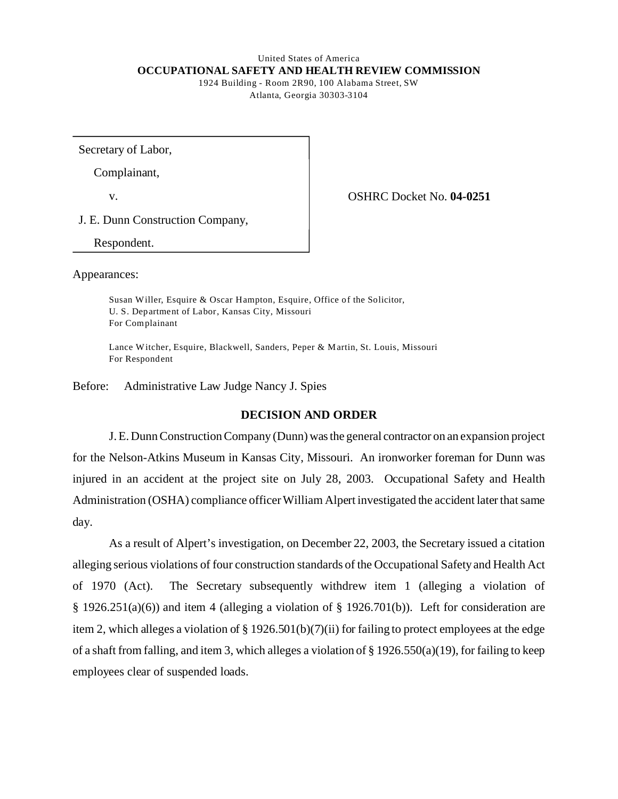#### United States of America **OCCUPATIONAL SAFETY AND HEALTH REVIEW COMMISSION**  1924 Building - Room 2R90, 100 Alabama Street, SW

Atlanta, Georgia 30303-3104

Secretary of Labor,

Complainant,

v. OSHRC Docket No. **04-0251** 

J. E. Dunn Construction Company,

Respondent.

Appearances:

Susan Willer, Esquire & Oscar Hampton, Esquire, Office of the Solicitor, U. S. Department of Labor, Kansas City, Missouri For Complainant

Lance W itcher, Esquire, Blackwell, Sanders, Peper & M artin, St. Louis, Missouri For Respondent

Before: Administrative Law Judge Nancy J. Spies

## **DECISION AND ORDER**

J.E. Dunn Construction Company (Dunn) was the general contractor on an expansion project for the Nelson-Atkins Museum in Kansas City, Missouri. An ironworker foreman for Dunn was injured in an accident at the project site on July 28, 2003. Occupational Safety and Health Administration (OSHA) compliance officer William Alpert investigated the accident later that same day.

As a result of Alpert's investigation, on December 22, 2003, the Secretary issued a citation alleging serious violations of four construction standards of the Occupational Safety and Health Act of 1970 (Act). The Secretary subsequently withdrew item 1 (alleging a violation of  $\S$  1926.251(a)(6)) and item 4 (alleging a violation of  $\S$  1926.701(b)). Left for consideration are item 2, which alleges a violation of § 1926.501(b)(7)(ii) for failing to protect employees at the edge of a shaft from falling, and item 3, which alleges a violation of § 1926.550(a)(19), for failing to keep employees clear of suspended loads.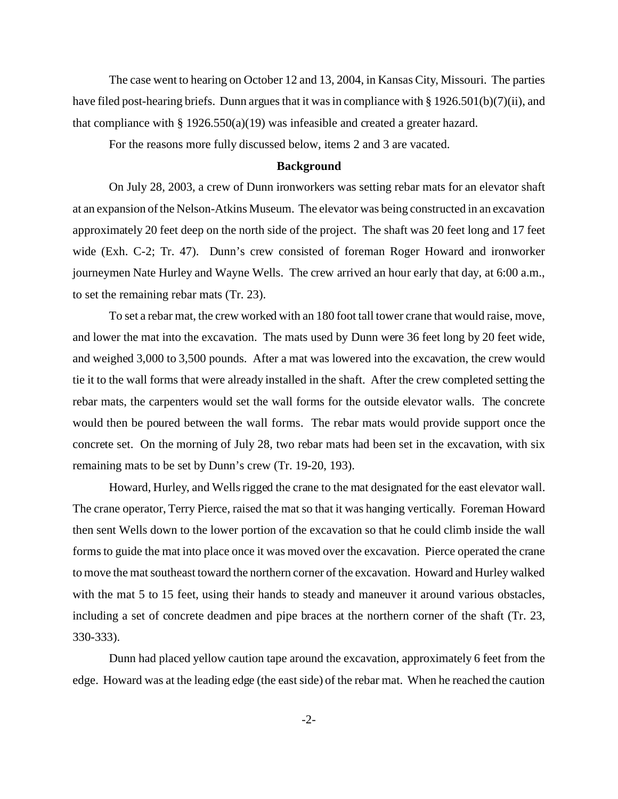The case went to hearing on October 12 and 13, 2004, in Kansas City, Missouri. The parties have filed post-hearing briefs. Dunn argues that it was in compliance with § 1926.501(b)(7)(ii), and that compliance with §  $1926.550(a)(19)$  was infeasible and created a greater hazard.

For the reasons more fully discussed below, items 2 and 3 are vacated.

## **Background**

On July 28, 2003, a crew of Dunn ironworkers was setting rebar mats for an elevator shaft at an expansion of the Nelson-Atkins Museum. The elevator was being constructed in an excavation approximately 20 feet deep on the north side of the project. The shaft was 20 feet long and 17 feet wide (Exh. C-2; Tr. 47). Dunn's crew consisted of foreman Roger Howard and ironworker journeymen Nate Hurley and Wayne Wells. The crew arrived an hour early that day, at 6:00 a.m., to set the remaining rebar mats (Tr. 23).

To set a rebar mat, the crew worked with an 180 foot tall tower crane that would raise, move, and lower the mat into the excavation. The mats used by Dunn were 36 feet long by 20 feet wide, and weighed 3,000 to 3,500 pounds. After a mat was lowered into the excavation, the crew would tie it to the wall forms that were already installed in the shaft. After the crew completed setting the rebar mats, the carpenters would set the wall forms for the outside elevator walls. The concrete would then be poured between the wall forms. The rebar mats would provide support once the concrete set. On the morning of July 28, two rebar mats had been set in the excavation, with six remaining mats to be set by Dunn's crew (Tr. 19-20, 193).

Howard, Hurley, and Wells rigged the crane to the mat designated for the east elevator wall. The crane operator, Terry Pierce, raised the mat so that it was hanging vertically. Foreman Howard then sent Wells down to the lower portion of the excavation so that he could climb inside the wall forms to guide the mat into place once it was moved over the excavation. Pierce operated the crane to move the mat southeast toward the northern corner of the excavation. Howard and Hurley walked with the mat 5 to 15 feet, using their hands to steady and maneuver it around various obstacles, including a set of concrete deadmen and pipe braces at the northern corner of the shaft (Tr. 23, 330-333).

Dunn had placed yellow caution tape around the excavation, approximately 6 feet from the edge. Howard was at the leading edge (the east side) of the rebar mat. When he reached the caution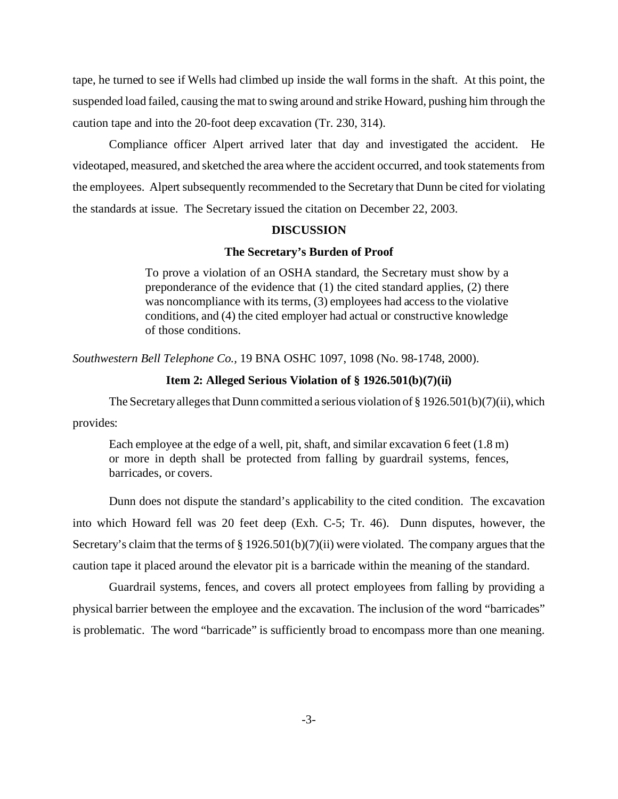tape, he turned to see if Wells had climbed up inside the wall forms in the shaft. At this point, the suspended load failed, causing the mat to swing around and strike Howard, pushing him through the caution tape and into the 20-foot deep excavation (Tr. 230, 314).

Compliance officer Alpert arrived later that day and investigated the accident. He videotaped, measured, and sketched the area where the accident occurred, and took statements from the employees. Alpert subsequently recommended to the Secretary that Dunn be cited for violating the standards at issue. The Secretary issued the citation on December 22, 2003.

### **DISCUSSION**

## **The Secretary's Burden of Proof**

To prove a violation of an OSHA standard, the Secretary must show by a preponderance of the evidence that (1) the cited standard applies, (2) there was noncompliance with its terms, (3) employees had access to the violative conditions, and (4) the cited employer had actual or constructive knowledge of those conditions.

*Southwestern Bell Telephone Co.,* 19 BNA OSHC 1097, 1098 (No. 98-1748, 2000).

## **Item 2: Alleged Serious Violation of § 1926.501(b)(7)(ii)**

The Secretary alleges that Dunn committed a serious violation of  $\S 1926.501(b)(7)(ii)$ , which provides:

Each employee at the edge of a well, pit, shaft, and similar excavation 6 feet (1.8 m) or more in depth shall be protected from falling by guardrail systems, fences, barricades, or covers.

Dunn does not dispute the standard's applicability to the cited condition. The excavation into which Howard fell was 20 feet deep (Exh. C-5; Tr. 46). Dunn disputes, however, the Secretary's claim that the terms of § 1926.501(b)(7)(ii) were violated. The company argues that the caution tape it placed around the elevator pit is a barricade within the meaning of the standard.

Guardrail systems, fences, and covers all protect employees from falling by providing a physical barrier between the employee and the excavation. The inclusion of the word "barricades" is problematic. The word "barricade" is sufficiently broad to encompass more than one meaning.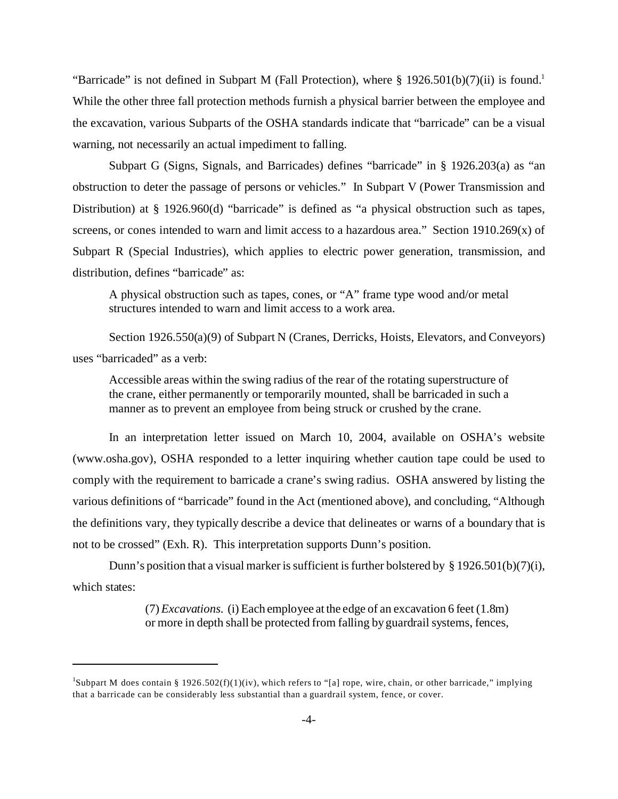"Barricade" is not defined in Subpart M (Fall Protection), where  $\S$  1926.501(b)(7)(ii) is found.<sup>1</sup> While the other three fall protection methods furnish a physical barrier between the employee and the excavation, various Subparts of the OSHA standards indicate that "barricade" can be a visual warning, not necessarily an actual impediment to falling.

Subpart G (Signs, Signals, and Barricades) defines "barricade" in § 1926.203(a) as "an obstruction to deter the passage of persons or vehicles." In Subpart V (Power Transmission and Distribution) at § 1926.960(d) "barricade" is defined as "a physical obstruction such as tapes, screens, or cones intended to warn and limit access to a hazardous area." Section  $1910.269(x)$  of Subpart R (Special Industries), which applies to electric power generation, transmission, and distribution, defines "barricade" as:

A physical obstruction such as tapes, cones, or "A" frame type wood and/or metal structures intended to warn and limit access to a work area.

Section 1926.550(a)(9) of Subpart N (Cranes, Derricks, Hoists, Elevators, and Conveyors) uses "barricaded" as a verb:

Accessible areas within the swing radius of the rear of the rotating superstructure of the crane, either permanently or temporarily mounted, shall be barricaded in such a manner as to prevent an employee from being struck or crushed by the crane.

In an interpretation letter issued on March 10, 2004, available on OSHA's website (www.osha.gov), OSHA responded to a letter inquiring whether caution tape could be used to comply with the requirement to barricade a crane's swing radius. OSHA answered by listing the various definitions of "barricade" found in the Act (mentioned above), and concluding, "Although the definitions vary, they typically describe a device that delineates or warns of a boundary that is not to be crossed" (Exh. R). This interpretation supports Dunn's position.

Dunn's position that a visual marker is sufficient is further bolstered by § 1926.501(b)(7)(i), which states:

> (7) *Excavations.* (i) Each employee at the edge of an excavation 6 feet (1.8m) or more in depth shall be protected from falling by guardrail systems, fences,

<sup>&</sup>lt;sup>1</sup>Subpart M does contain § 1926.502(f)(1)(iv), which refers to "[a] rope, wire, chain, or other barricade," implying that a barricade can be considerably less substantial than a guardrail system, fence, or cover.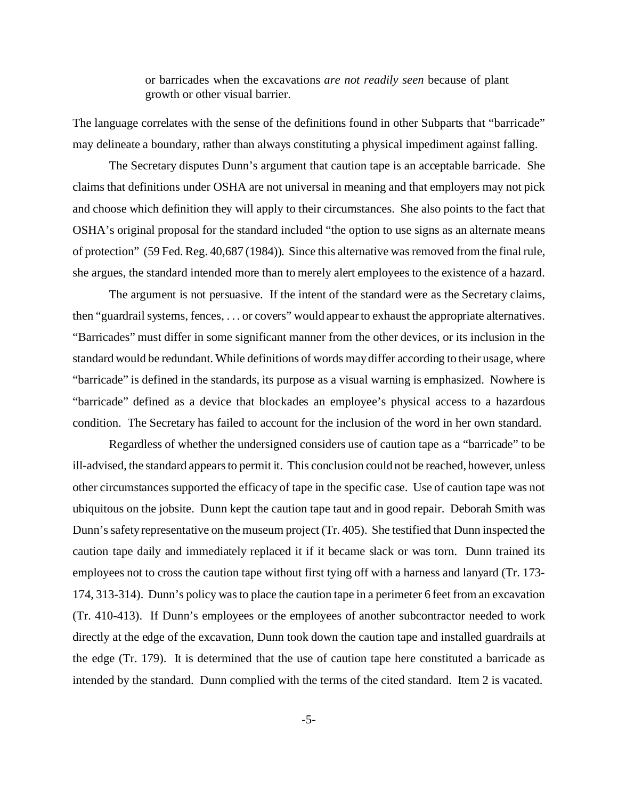or barricades when the excavations *are not readily seen* because of plant growth or other visual barrier.

The language correlates with the sense of the definitions found in other Subparts that "barricade" may delineate a boundary, rather than always constituting a physical impediment against falling.

The Secretary disputes Dunn's argument that caution tape is an acceptable barricade. She claims that definitions under OSHA are not universal in meaning and that employers may not pick and choose which definition they will apply to their circumstances. She also points to the fact that OSHA's original proposal for the standard included "the option to use signs as an alternate means of protection" (59 Fed. Reg. 40,687 (1984)). Since this alternative was removed from the final rule, she argues, the standard intended more than to merely alert employees to the existence of a hazard.

The argument is not persuasive. If the intent of the standard were as the Secretary claims, then "guardrail systems, fences, . . . or covers" would appear to exhaust the appropriate alternatives. "Barricades" must differ in some significant manner from the other devices, or its inclusion in the standard would be redundant. While definitions of words may differ according to their usage, where "barricade" is defined in the standards, its purpose as a visual warning is emphasized. Nowhere is "barricade" defined as a device that blockades an employee's physical access to a hazardous condition. The Secretary has failed to account for the inclusion of the word in her own standard.

Regardless of whether the undersigned considers use of caution tape as a "barricade" to be ill-advised, the standard appears to permit it. This conclusion could not be reached, however, unless other circumstances supported the efficacy of tape in the specific case. Use of caution tape was not ubiquitous on the jobsite. Dunn kept the caution tape taut and in good repair. Deborah Smith was Dunn's safety representative on the museum project (Tr. 405). She testified that Dunn inspected the caution tape daily and immediately replaced it if it became slack or was torn. Dunn trained its employees not to cross the caution tape without first tying off with a harness and lanyard (Tr. 173-174, 313-314). Dunn's policy was to place the caution tape in a perimeter 6 feet from an excavation (Tr. 410-413). If Dunn's employees or the employees of another subcontractor needed to work directly at the edge of the excavation, Dunn took down the caution tape and installed guardrails at the edge (Tr. 179). It is determined that the use of caution tape here constituted a barricade as intended by the standard. Dunn complied with the terms of the cited standard. Item 2 is vacated.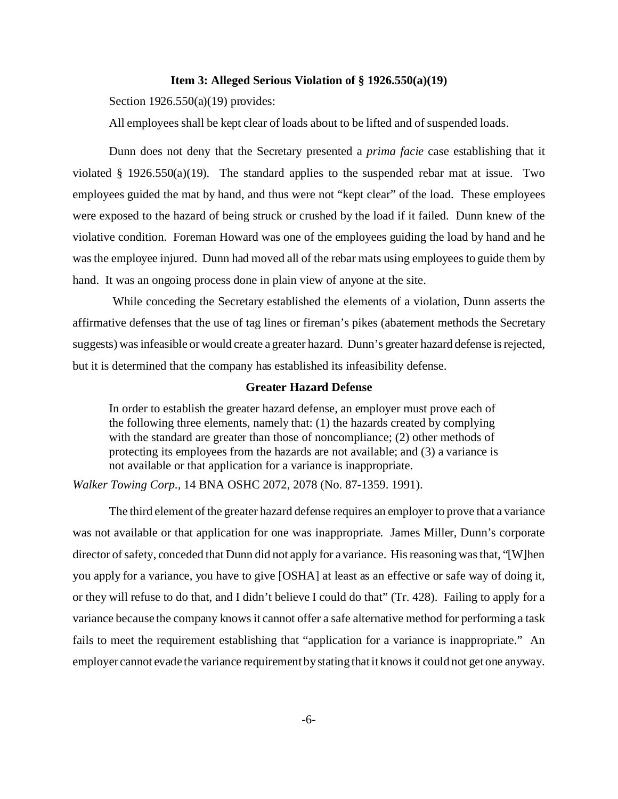### **Item 3: Alleged Serious Violation of § 1926.550(a)(19)**

Section 1926.550(a)(19) provides:

All employees shall be kept clear of loads about to be lifted and of suspended loads.

Dunn does not deny that the Secretary presented a *prima facie* case establishing that it violated § 1926.550(a)(19). The standard applies to the suspended rebar mat at issue. Two employees guided the mat by hand, and thus were not "kept clear" of the load. These employees were exposed to the hazard of being struck or crushed by the load if it failed. Dunn knew of the violative condition. Foreman Howard was one of the employees guiding the load by hand and he was the employee injured. Dunn had moved all of the rebar mats using employees to guide them by hand. It was an ongoing process done in plain view of anyone at the site.

 While conceding the Secretary established the elements of a violation, Dunn asserts the affirmative defenses that the use of tag lines or fireman's pikes (abatement methods the Secretary suggests) was infeasible or would create a greater hazard. Dunn's greater hazard defense is rejected, but it is determined that the company has established its infeasibility defense.

## **Greater Hazard Defense**

In order to establish the greater hazard defense, an employer must prove each of the following three elements, namely that: (1) the hazards created by complying with the standard are greater than those of noncompliance; (2) other methods of protecting its employees from the hazards are not available; and (3) a variance is not available or that application for a variance is inappropriate.

*Walker Towing Corp.,* 14 BNA OSHC 2072, 2078 (No. 87-1359. 1991).

The third element of the greater hazard defense requires an employer to prove that a variance was not available or that application for one was inappropriate. James Miller, Dunn's corporate director of safety, conceded that Dunn did not apply for a variance. His reasoning was that, "[W]hen you apply for a variance, you have to give [OSHA] at least as an effective or safe way of doing it, or they will refuse to do that, and I didn't believe I could do that" (Tr. 428). Failing to apply for a variance because the company knows it cannot offer a safe alternative method for performing a task fails to meet the requirement establishing that "application for a variance is inappropriate." An employer cannot evade the variance requirement by stating that it knows it could not get one anyway.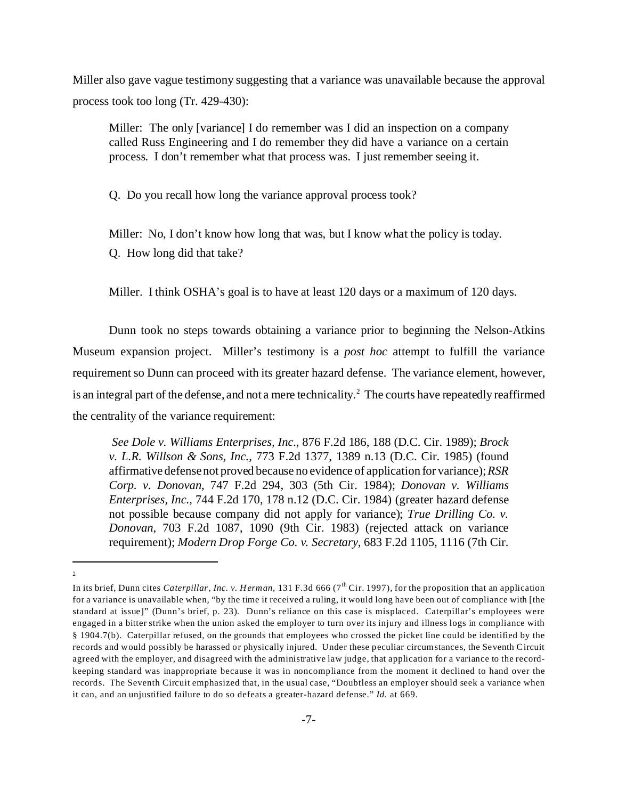Miller also gave vague testimony suggesting that a variance was unavailable because the approval process took too long (Tr. 429-430):

Miller: The only [variance] I do remember was I did an inspection on a company called Russ Engineering and I do remember they did have a variance on a certain process. I don't remember what that process was. I just remember seeing it.

Q. Do you recall how long the variance approval process took?

Miller: No, I don't know how long that was, but I know what the policy is today.

Q. How long did that take?

Miller. I think OSHA's goal is to have at least 120 days or a maximum of 120 days.

Dunn took no steps towards obtaining a variance prior to beginning the Nelson-Atkins Museum expansion project. Miller's testimony is a *post hoc* attempt to fulfill the variance requirement so Dunn can proceed with its greater hazard defense. The variance element, however, is an integral part of the defense, and not a mere technicality.<sup>2</sup> The courts have repeatedly reaffirmed the centrality of the variance requirement:

*See Dole v. Williams Enterprises, Inc.*, 876 F.2d 186, 188 (D.C. Cir. 1989); *Brock v. L.R. Willson & Sons, Inc.,* 773 F.2d 1377, 1389 n.13 (D.C. Cir. 1985) (found affirmative defense not proved because no evidence of application for variance); *RSR Corp. v. Donovan*, 747 F.2d 294, 303 (5th Cir. 1984); *Donovan v. Williams Enterprises, Inc.*, 744 F.2d 170, 178 n.12 (D.C. Cir. 1984) (greater hazard defense not possible because company did not apply for variance); *True Drilling Co. v. Donovan*, 703 F.2d 1087, 1090 (9th Cir. 1983) (rejected attack on variance requirement); *Modern Drop Forge Co. v. Secretary*, 683 F.2d 1105, 1116 (7th Cir.

 $\overline{2}$ 

In its brief, Dunn cites *Caterpillar, Inc. v. Herman*, 131 F.3d 666 (7<sup>th</sup> Cir. 1997), for the proposition that an application for a variance is unavailable when, "by the time it received a ruling, it would long have been out of compliance with [the standard at issue]" (Dunn's brief, p. 23). Dunn's reliance on this case is misplaced. Caterpillar's employees were engaged in a bitter strike when the union asked the employer to turn over its injury and illness logs in compliance with § 1904.7(b). Caterpillar refused, on the grounds that employees who crossed the picket line could be identified by the records and would possibly be harassed or physically injured. Under these peculiar circum stances, the Seventh Circuit agreed with the employer, and disagreed with the administrative law judge, that application for a variance to the recordkeeping standard was inappropriate because it was in noncompliance from the moment it declined to hand over the records. The Seventh Circuit emphasized that, in the usual case, "Doubtless an employer should seek a variance when it can, and an unjustified failure to do so defeats a greater-hazard defense." *Id.* at 669.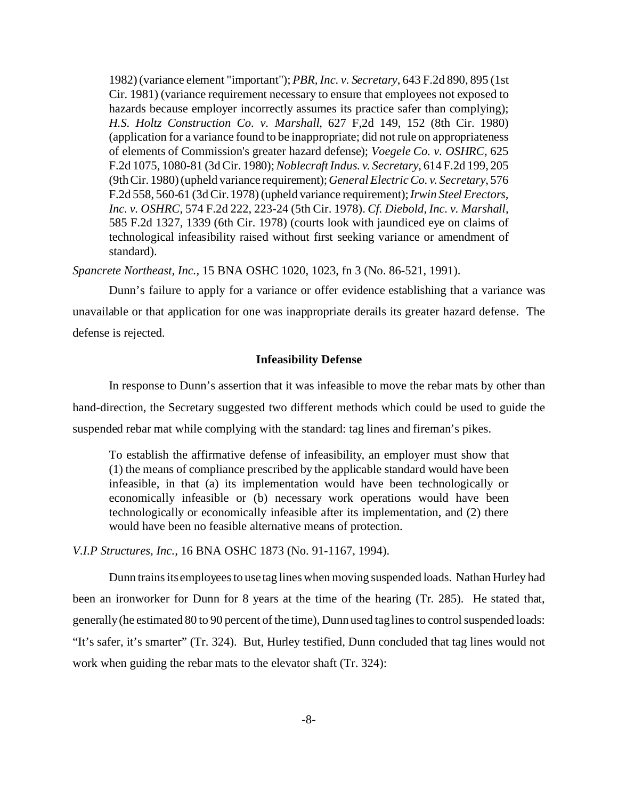1982) (variance element "important"); *PBR, Inc. v. Secretary*, 643 F.2d 890, 895 (1st Cir. 1981) (variance requirement necessary to ensure that employees not exposed to hazards because employer incorrectly assumes its practice safer than complying); *H.S. Holtz Construction Co. v. Marshall*, 627 F,2d 149, 152 (8th Cir. 1980) (application for a variance found to be inappropriate; did not rule on appropriateness of elements of Commission's greater hazard defense); *Voegele Co. v. OSHRC,* 625 F.2d 1075, 1080-81 (3d Cir. 1980); *Noblecraft Indus. v. Secretary*, 614 F.2d 199, 205 (9th Cir. 1980) (upheld variance requirement); *General Electric Co. v. Secretary*, 576 F.2d 558, 560-61 (3d Cir. 1978) (upheld variance requirement); *Irwin Steel Erectors, Inc. v. OSHRC*, 574 F.2d 222, 223-24 (5th Cir. 1978). *Cf. Diebold, Inc. v. Marshall,*  585 F.2d 1327, 1339 (6th Cir. 1978) (courts look with jaundiced eye on claims of technological infeasibility raised without first seeking variance or amendment of standard).

*Spancrete Northeast, Inc.,* 15 BNA OSHC 1020, 1023, fn 3 (No. 86-521, 1991).

Dunn's failure to apply for a variance or offer evidence establishing that a variance was unavailable or that application for one was inappropriate derails its greater hazard defense. The defense is rejected.

#### **Infeasibility Defense**

In response to Dunn's assertion that it was infeasible to move the rebar mats by other than hand-direction, the Secretary suggested two different methods which could be used to guide the suspended rebar mat while complying with the standard: tag lines and fireman's pikes.

To establish the affirmative defense of infeasibility, an employer must show that (1) the means of compliance prescribed by the applicable standard would have been infeasible, in that (a) its implementation would have been technologically or economically infeasible or (b) necessary work operations would have been technologically or economically infeasible after its implementation, and (2) there would have been no feasible alternative means of protection.

*V.I.P Structures, Inc.,* 16 BNA OSHC 1873 (No. 91-1167, 1994).

Dunn trains its employees to use tag lines when moving suspended loads. Nathan Hurley had been an ironworker for Dunn for 8 years at the time of the hearing (Tr. 285). He stated that, generally (he estimated 80 to 90 percent of the time), Dunn used tag lines to control suspended loads: "It's safer, it's smarter" (Tr. 324). But, Hurley testified, Dunn concluded that tag lines would not work when guiding the rebar mats to the elevator shaft (Tr. 324):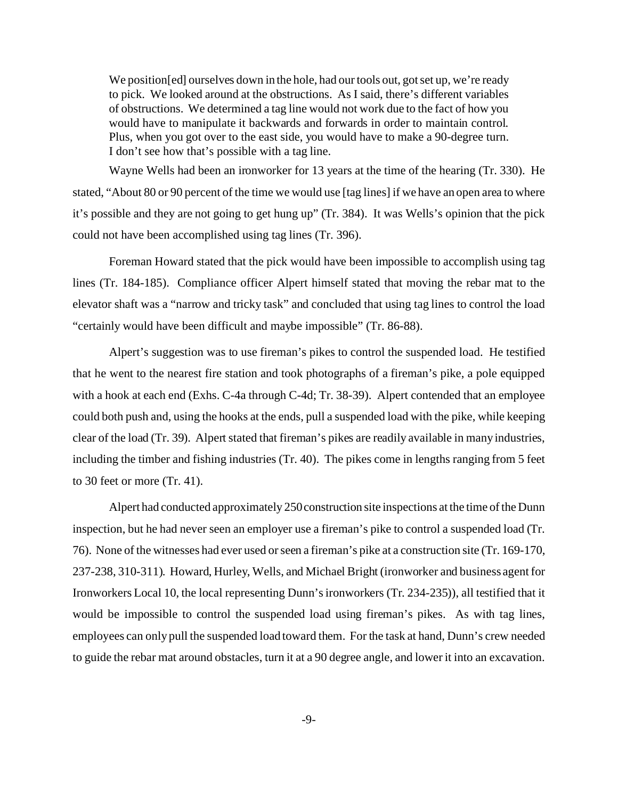We position [ed] ourselves down in the hole, had our tools out, got set up, we're ready to pick. We looked around at the obstructions. As I said, there's different variables of obstructions. We determined a tag line would not work due to the fact of how you would have to manipulate it backwards and forwards in order to maintain control. Plus, when you got over to the east side, you would have to make a 90-degree turn. I don't see how that's possible with a tag line.

Wayne Wells had been an ironworker for 13 years at the time of the hearing (Tr. 330). He stated, "About 80 or 90 percent of the time we would use [tag lines] if we have an open area to where it's possible and they are not going to get hung up" (Tr. 384). It was Wells's opinion that the pick could not have been accomplished using tag lines (Tr. 396).

Foreman Howard stated that the pick would have been impossible to accomplish using tag lines (Tr. 184-185). Compliance officer Alpert himself stated that moving the rebar mat to the elevator shaft was a "narrow and tricky task" and concluded that using tag lines to control the load "certainly would have been difficult and maybe impossible" (Tr. 86-88).

Alpert's suggestion was to use fireman's pikes to control the suspended load. He testified that he went to the nearest fire station and took photographs of a fireman's pike, a pole equipped with a hook at each end (Exhs. C-4a through C-4d; Tr. 38-39). Alpert contended that an employee could both push and, using the hooks at the ends, pull a suspended load with the pike, while keeping clear of the load (Tr. 39). Alpert stated that fireman's pikes are readily available in many industries, including the timber and fishing industries (Tr. 40). The pikes come in lengths ranging from 5 feet to 30 feet or more (Tr. 41).

Alpert had conducted approximately 250 construction site inspections at the time of the Dunn inspection, but he had never seen an employer use a fireman's pike to control a suspended load (Tr. 76). None of the witnesses had ever used or seen a fireman's pike at a construction site (Tr. 169-170, 237-238, 310-311). Howard, Hurley, Wells, and Michael Bright (ironworker and business agent for Ironworkers Local 10, the local representing Dunn's ironworkers (Tr. 234-235)), all testified that it would be impossible to control the suspended load using fireman's pikes. As with tag lines, employees can only pull the suspended load toward them. For the task at hand, Dunn's crew needed to guide the rebar mat around obstacles, turn it at a 90 degree angle, and lower it into an excavation.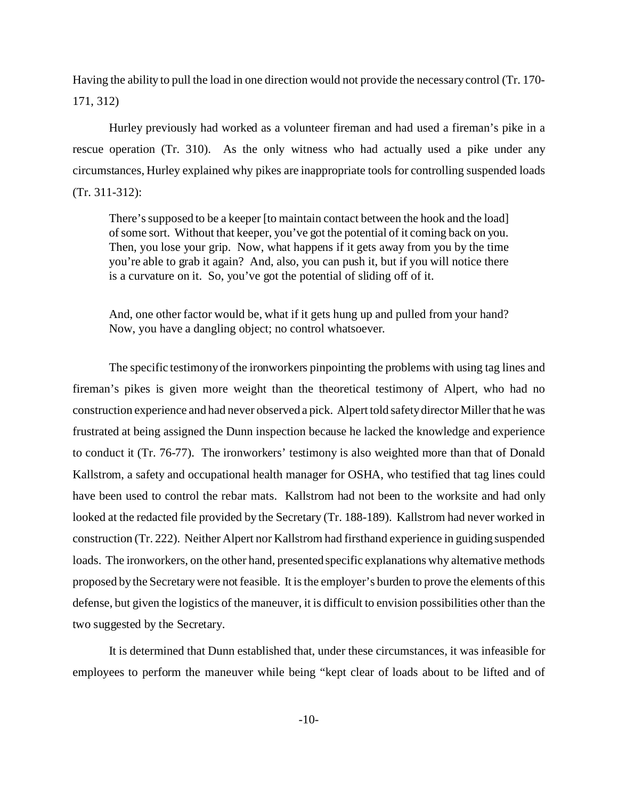Having the ability to pull the load in one direction would not provide the necessary control (Tr. 170 171, 312)

Hurley previously had worked as a volunteer fireman and had used a fireman's pike in a rescue operation (Tr. 310). As the only witness who had actually used a pike under any circumstances, Hurley explained why pikes are inappropriate tools for controlling suspended loads (Tr. 311-312):

There's supposed to be a keeper [to maintain contact between the hook and the load] of some sort. Without that keeper, you've got the potential of it coming back on you. Then, you lose your grip. Now, what happens if it gets away from you by the time you're able to grab it again? And, also, you can push it, but if you will notice there is a curvature on it. So, you've got the potential of sliding off of it.

And, one other factor would be, what if it gets hung up and pulled from your hand? Now, you have a dangling object; no control whatsoever.

The specific testimony of the ironworkers pinpointing the problems with using tag lines and fireman's pikes is given more weight than the theoretical testimony of Alpert, who had no construction experience and had never observed a pick. Alpert told safety director Miller that he was frustrated at being assigned the Dunn inspection because he lacked the knowledge and experience to conduct it (Tr. 76-77). The ironworkers' testimony is also weighted more than that of Donald Kallstrom, a safety and occupational health manager for OSHA, who testified that tag lines could have been used to control the rebar mats. Kallstrom had not been to the worksite and had only looked at the redacted file provided by the Secretary (Tr. 188-189). Kallstrom had never worked in construction (Tr. 222). Neither Alpert nor Kallstrom had firsthand experience in guiding suspended loads. The ironworkers, on the other hand, presented specific explanations why alternative methods proposed by the Secretary were not feasible. It is the employer's burden to prove the elements of this defense, but given the logistics of the maneuver, it is difficult to envision possibilities other than the two suggested by the Secretary.

It is determined that Dunn established that, under these circumstances, it was infeasible for employees to perform the maneuver while being "kept clear of loads about to be lifted and of